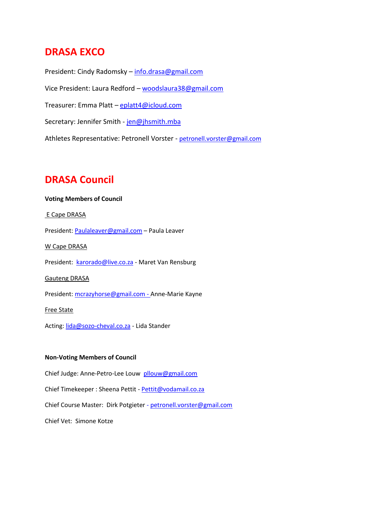### **DRASA EXCO**

President: Cindy Radomsky – [info.drasa@gmail.com](mailto:info.drasa@gmail.com) Vice President: Laura Redford – [woodslaura38@gmail.com](mailto:woodslaura38@gmail.com) Treasurer: Emma Platt - [eplatt4@icloud.com](mailto:eplatt4@icloud.com) Secretary: Jennifer Smith - [jen@jhsmith.mba](mailto:jen@jhsmith.mba) Athletes Representative: Petronell Vorster - [petronell.vorster@gmail.com](mailto:petronell.vorster@gmail.com)

## **DRASA Council**

# **Voting Members of Council** E Cape DRASA President: [Paulaleaver@gmail.com](mailto:Paulaleaver@gmail.com) – Paula Leaver W Cape DRASA President: [karorado@live.co.za](mailto:karorado@live.co.za) - Maret Van Rensburg Gauteng DRASA President: [mcrazyhorse@gmail.com](mailto:mcrazyhorse@gmail.com) - Anne-Marie Kayne Free State

Acting[: lida@sozo-cheval.co.za](mailto:lida@sozo-cheval.co.za) - Lida Stander

### **Non-Voting Members of Council**

Chief Judge: Anne-Petro-Lee Louw [pllouw@gmail.com](mailto:pllouw@gmail.com)

Chief Timekeeper : Sheena Pettit - [Pettit@vodamail.co.za](mailto:Pettit@vodamail.co.za)

Chief Course Master: Dirk Potgieter - [petronell.vorster@gmail.com](mailto:petronell.vorster@gmail.com)

Chief Vet: Simone Kotze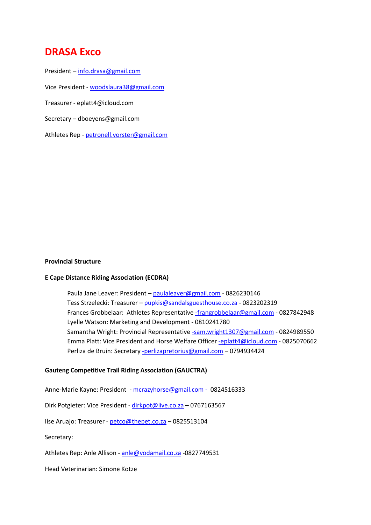### **DRASA Exco**

President – [info.drasa@gmail.com](mailto:info.drasa@gmail.com)

Vice President - [woodslaura38@gmail.com](mailto:woodslaura38@gmail.com)

Treasurer - eplatt4@icloud.com

Secretary – dboeyens@gmail.com

Athletes Rep - [petronell.vorster@gmail.com](mailto:petronell.vorster@gmail.com)

#### **Provincial Structure**

#### **E Cape Distance Riding Association (ECDRA)**

Paula Jane Leaver: President – [paulaleaver@gmail.com](mailto:paulaleaver@gmail.com) - 0826230146 Tess Strzelecki: Treasurer – [pupkis@sandalsguesthouse.co.za](mailto:pupkis@sandalsguesthouse.co.za) - 0823202319 Frances Grobbelaar: Athletes Representative [-frangrobbelaar@gmail.com](mailto:-frangrobbelaar@gmail.com) - 0827842948 Lyelle Watson: Marketing and Development - 0810241780 Samantha Wright: Provincial Representative [-sam.wright1307@gmail.com](mailto:-sam.wright1307@gmail.com) - 0824989550 Emma Platt: Vice President and Horse Welfare Office[r -eplatt4@icloud.com](mailto:-eplatt4@icloud.com) - 0825070662 Perliza de Bruin: Secretary [-perlizapretorius@gmail.com](mailto:-perlizapretorius@gmail.com) – 0794934424

### **Gauteng Competitive Trail Riding Association (GAUCTRA)**

Anne-Marie Kayne: President - [mcrazyhorse@gmail.com](mailto:mcrazyhorse@gmail.com) - 0824516333

Dirk Potgieter: Vice President - [dirkpot@live.co.za](mailto:dirkpot@live.co.za) – 0767163567

Ilse Aruajo: Treasurer - [petco@thepet.co.za](mailto:petco@thepet.co.za) – 0825513104

Secretary:

Athletes Rep: Anle Allison - [anle@vodamail.co.za](mailto:anle@vodamail.co.za) -0827749531

Head Veterinarian: Simone Kotze